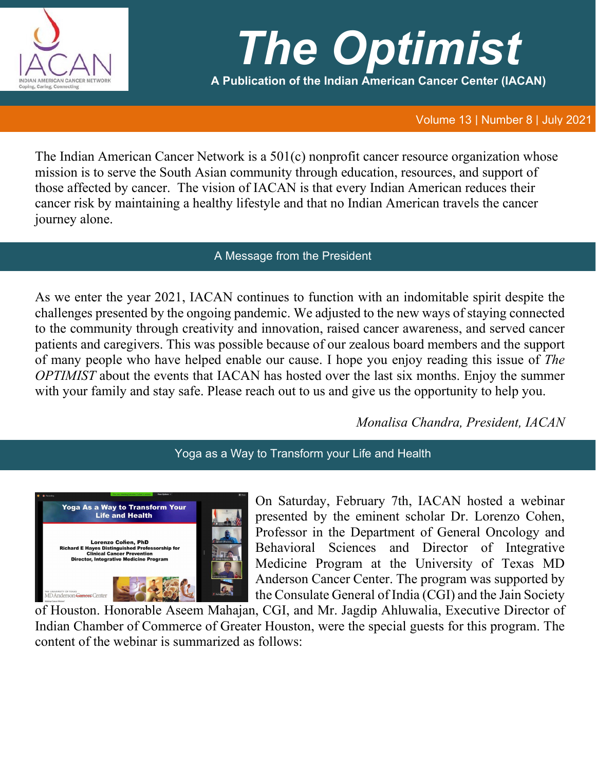

# *The Optimist*

**A Publication of the Indian American Cancer Center (IACAN)**

### Volume 13 | Number 8 | July 2021

The Indian American Cancer Network is a 501(c) nonprofit cancer resource organization whose mission is to serve the South Asian community through education, resources, and support of those affected by cancer. The vision of IACAN is that every Indian American reduces their cancer risk by maintaining a healthy lifestyle and that no Indian American travels the cancer journey alone.

## A Message from the President

As we enter the year 2021, IACAN continues to function with an indomitable spirit despite the challenges presented by the ongoing pandemic. We adjusted to the new ways of staying connected to the community through creativity and innovation, raised cancer awareness, and served cancer patients and caregivers. This was possible because of our zealous board members and the support of many people who have helped enable our cause. I hope you enjoy reading this issue of *The OPTIMIST* about the events that IACAN has hosted over the last six months. Enjoy the summer with your family and stay safe. Please reach out to us and give us the opportunity to help you.

*Monalisa Chandra, President, IACAN*

Yoga as a Way to Transform your Life and Health



On Saturday, February 7th, IACAN hosted a webinar presented by the eminent scholar Dr. Lorenzo Cohen, Professor in the Department of General Oncology and Behavioral Sciences and Director of Integrative Medicine Program at the University of Texas MD Anderson Cancer Center. The program was supported by the Consulate General of India (CGI) and the Jain Society

of Houston. Honorable Aseem Mahajan, CGI, and Mr. Jagdip Ahluwalia, Executive Director of Indian Chamber of Commerce of Greater Houston, were the special guests for this program. The content of the webinar is summarized as follows: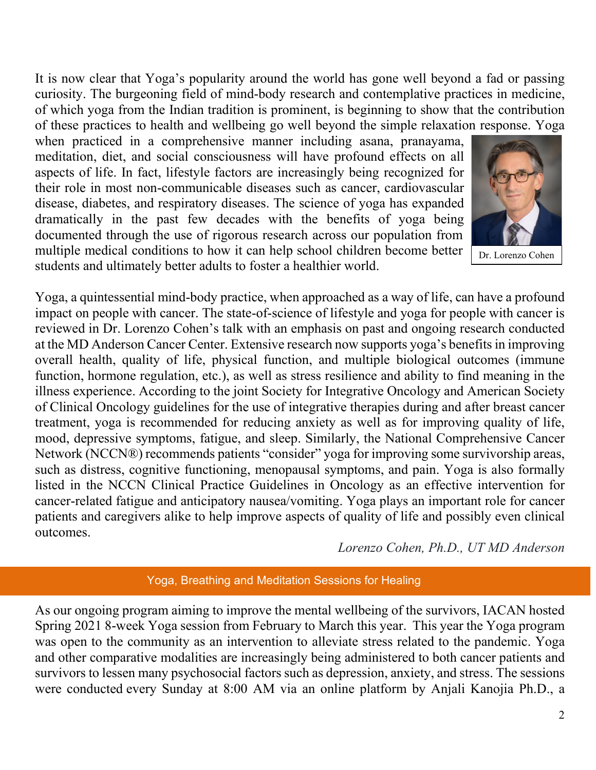It is now clear that Yoga's popularity around the world has gone well beyond a fad or passing curiosity. The burgeoning field of mind-body research and contemplative practices in medicine, of which yoga from the Indian tradition is prominent, is beginning to show that the contribution of these practices to health and wellbeing go well beyond the simple relaxation response. Yoga

when practiced in a comprehensive manner including asana, pranayama, meditation, diet, and social consciousness will have profound effects on all aspects of life. In fact, lifestyle factors are increasingly being recognized for their role in most non-communicable diseases such as cancer, cardiovascular disease, diabetes, and respiratory diseases. The science of yoga has expanded dramatically in the past few decades with the benefits of yoga being documented through the use of rigorous research across our population from multiple medical conditions to how it can help school children become better students and ultimately better adults to foster a healthier world.



Yoga, a quintessential mind-body practice, when approached as a way of life, can have a profound impact on people with cancer. The state-of-science of lifestyle and yoga for people with cancer is reviewed in Dr. Lorenzo Cohen's talk with an emphasis on past and ongoing research conducted at the MD Anderson Cancer Center. Extensive research now supports yoga's benefits in improving overall health, quality of life, physical function, and multiple biological outcomes (immune function, hormone regulation, etc.), as well as stress resilience and ability to find meaning in the illness experience. According to the joint Society for Integrative Oncology and American Society of Clinical Oncology guidelines for the use of integrative therapies during and after breast cancer treatment, yoga is recommended for reducing anxiety as well as for improving quality of life, mood, depressive symptoms, fatigue, and sleep. Similarly, the National Comprehensive Cancer Network (NCCN®) recommends patients "consider" yoga for improving some survivorship areas, such as distress, cognitive functioning, menopausal symptoms, and pain. Yoga is also formally listed in the NCCN Clinical Practice Guidelines in Oncology as an effective intervention for cancer-related fatigue and anticipatory nausea/vomiting. Yoga plays an important role for cancer patients and caregivers alike to help improve aspects of quality of life and possibly even clinical outcomes.

*Lorenzo Cohen, Ph.D., UT MD Anderson*

#### Yoga, Breathing and Meditation Sessions for Healing

As our ongoing program aiming to improve the mental wellbeing of the survivors, IACAN hosted Spring 2021 8-week Yoga session from February to March this year. This year the Yoga program was open to the community as an intervention to alleviate stress related to the pandemic. Yoga and other comparative modalities are increasingly being administered to both cancer patients and survivors to lessen many psychosocial factors such as depression, anxiety, and stress. The sessions were conducted every Sunday at 8:00 AM via an online platform by Anjali Kanojia Ph.D., a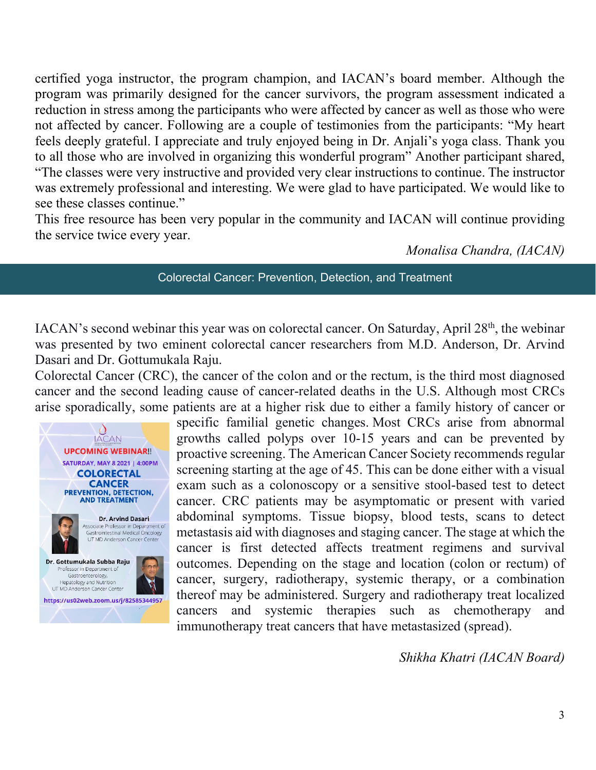certified yoga instructor, the program champion, and IACAN's board member. Although the program was primarily designed for the cancer survivors, the program assessment indicated a reduction in stress among the participants who were affected by cancer as well as those who were not affected by cancer. Following are a couple of testimonies from the participants: "My heart feels deeply grateful. I appreciate and truly enjoyed being in Dr. Anjali's yoga class. Thank you to all those who are involved in organizing this wonderful program" Another participant shared, "The classes were very instructive and provided very clear instructions to continue. The instructor was extremely professional and interesting. We were glad to have participated. We would like to see these classes continue."

This free resource has been very popular in the community and IACAN will continue providing the service twice every year.

*Monalisa Chandra, (IACAN)*

#### Colorectal Cancer: Prevention, Detection, and Treatment

IACAN's second webinar this year was on colorectal cancer. On Saturday, April 28<sup>th</sup>, the webinar was presented by two eminent colorectal cancer researchers from M.D. Anderson, Dr. Arvind Dasari and Dr. Gottumukala Raju.

Colorectal Cancer (CRC), the cancer of the colon and or the rectum, is the third most diagnosed cancer and the second leading cause of cancer-related deaths in the U.S. Although most CRCs arise sporadically, some patients are at a higher risk due to either a family history of cancer or



specific familial genetic changes. Most CRCs arise from abnormal growths called polyps over 10-15 years and can be prevented by proactive screening. The American Cancer Society recommends regular screening starting at the age of 45. This can be done either with a visual exam such as a colonoscopy or a sensitive stool-based test to detect cancer. CRC patients may be asymptomatic or present with varied abdominal symptoms. Tissue biopsy, blood tests, scans to detect metastasis aid with diagnoses and staging cancer. The stage at which the cancer is first detected affects treatment regimens and survival outcomes. Depending on the stage and location (colon or rectum) of cancer, surgery, radiotherapy, systemic therapy, or a combination thereof may be administered. Surgery and radiotherapy treat localized cancers and systemic therapies such as chemotherapy and immunotherapy treat cancers that have metastasized (spread).

*Shikha Khatri (IACAN Board)*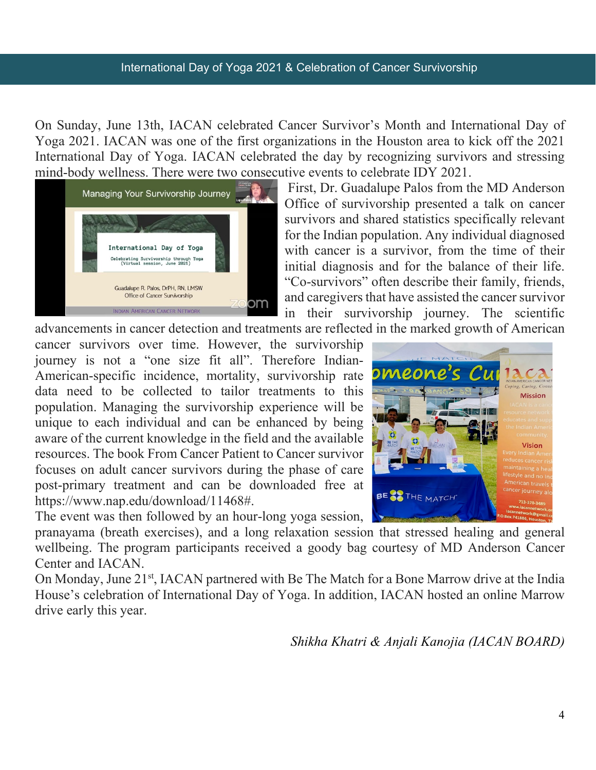#### International Day of Yoga 2021 & Celebration of Cancer Survivorship

On Sunday, June 13th, IACAN celebrated Cancer Survivor's Month and International Day of Yoga 2021. IACAN was one of the first organizations in the Houston area to kick off the 2021 International Day of Yoga. IACAN celebrated the day by recognizing survivors and stressing mind-body wellness. There were two consecutive events to celebrate IDY 2021.



First, Dr. Guadalupe Palos from the MD Anderson Office of survivorship presented a talk on cancer survivors and shared statistics specifically relevant for the Indian population. Any individual diagnosed with cancer is a survivor, from the time of their initial diagnosis and for the balance of their life. "Co-survivors" often describe their family, friends, and caregivers that have assisted the cancer survivor in their survivorship journey. The scientific

advancements in cancer detection and treatments are reflected in the marked growth of American

cancer survivors over time. However, the survivorship journey is not a "one size fit all". Therefore Indian-American-specific incidence, mortality, survivorship rate data need to be collected to tailor treatments to this population. Managing the survivorship experience will be unique to each individual and can be enhanced by being aware of the current knowledge in the field and the available resources. The book From Cancer Patient to Cancer survivor focuses on adult cancer survivors during the phase of care post-primary treatment and can be downloaded free at [https://www.nap.edu/download/11468#.](https://www.nap.edu/download/11468)

The event was then followed by an hour-long yoga session,

pranayama (breath exercises), and a long relaxation session that stressed healing and general wellbeing. The program participants received a goody bag courtesy of MD Anderson Cancer Center and IACAN.

On Monday, June 21<sup>st</sup>, IACAN partnered with Be The Match for a Bone Marrow drive at the India House's celebration of International Day of Yoga. In addition, IACAN hosted an online Marrow drive early this year.

*Shikha Khatri & Anjali Kanojia (IACAN BOARD)*